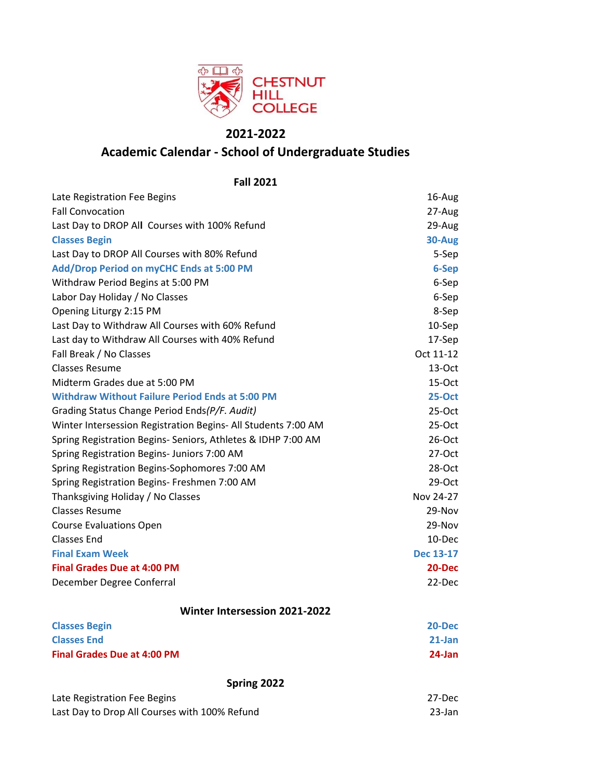

# **2021-2022**

# **Academic Calendar - School of Undergraduate Studies**

Late Registration Fee Begins 16-August 2016 16-August 2016 Fall Convocation 27-Aug Last Day to DROP All Courses with 100% Refund 29-Aug 29-Aug **Classes Begin 30-Aug** Last Day to DROP All Courses with 80% Refund 5-Sep **Add/Drop Period on myCHC Ends at 5:00 PM 6-Sep** Withdraw Period Begins at 5:00 PM 6-Sep Labor Day Holiday / No Classes 6-Sep Opening Liturgy 2:15 PM 8-Sep Last Day to Withdraw All Courses with 60% Refund 10-Sep Last day to Withdraw All Courses with 40% Refund 17-Sep Fall Break / No Classes **Oct 11-12** Classes Resume 13-Oct Midterm Grades due at 5:00 PM 15-Oct 15-Oct 15-Oct 15-Oct 15-Oct 15-Oct 15-Oct 15-Oct 15-Oct 15-Oct 15-Oct 15-Oct 15-Oct 15-Oct 15-Oct 15-Oct 15-Oct 15-Oct 15-Oct 15-Oct 15-Oct 15-Oct 15-Oct 15-Oct 15-Oct 15-Oct 15-Oct 15-**Withdraw Without Failure Period Ends at 5:00 PM 25-Oct** Grading Status Change Period Ends*(P/F. Audit)* 25-Oct Winter Intersession Registration Begins- All Students 7:00 AM 25-Oct Spring Registration Begins- Seniors, Athletes & IDHP 7:00 AM 26-Oct Spring Registration Begins- Juniors 7:00 AM 27-Oct 27-Oct Spring Registration Begins-Sophomores 7:00 AM 28-Oct Spring Registration Begins- Freshmen 7:00 AM 29-Oct Thanksgiving Holiday / No Classes Nov 24-27 Classes Resume 29-Nov Course Evaluations Open 29-Nov Classes End 10-Dec **Final Exam Week Dec 13-17 Final Grades Due at 4:00 PM 20-Dec** December Degree Conferral 22-Dec **Classes Begin 20-Dec Classes End 21-Jan Final Grades Due at 4:00 PM 24-Jan Fall 2021 Winter Intersession 2021-2022**

**Spring 2022**

| Late Registration Fee Begins                  | 27-Dec |
|-----------------------------------------------|--------|
| Last Day to Drop All Courses with 100% Refund | 23-Jan |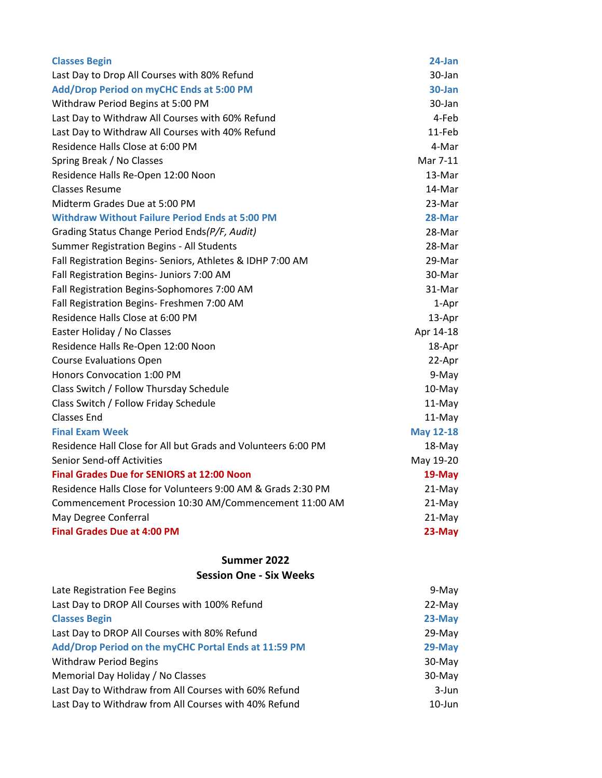| <b>Classes Begin</b>                                          | 24-Jan           |
|---------------------------------------------------------------|------------------|
| Last Day to Drop All Courses with 80% Refund                  | 30-Jan           |
| Add/Drop Period on myCHC Ends at 5:00 PM                      | $30$ -Jan        |
| Withdraw Period Begins at 5:00 PM                             | 30-Jan           |
| Last Day to Withdraw All Courses with 60% Refund              | 4-Feb            |
| Last Day to Withdraw All Courses with 40% Refund              | 11-Feb           |
| Residence Halls Close at 6:00 PM                              | 4-Mar            |
| Spring Break / No Classes                                     | Mar 7-11         |
| Residence Halls Re-Open 12:00 Noon                            | 13-Mar           |
| <b>Classes Resume</b>                                         | 14-Mar           |
| Midterm Grades Due at 5:00 PM                                 | 23-Mar           |
| <b>Withdraw Without Failure Period Ends at 5:00 PM</b>        | 28-Mar           |
| Grading Status Change Period Ends(P/F, Audit)                 | 28-Mar           |
| Summer Registration Begins - All Students                     | 28-Mar           |
| Fall Registration Begins- Seniors, Athletes & IDHP 7:00 AM    | 29-Mar           |
| Fall Registration Begins- Juniors 7:00 AM                     | 30-Mar           |
| Fall Registration Begins-Sophomores 7:00 AM                   | 31-Mar           |
| Fall Registration Begins- Freshmen 7:00 AM                    | 1-Apr            |
| Residence Halls Close at 6:00 PM                              | 13-Apr           |
| Easter Holiday / No Classes                                   | Apr 14-18        |
| Residence Halls Re-Open 12:00 Noon                            | 18-Apr           |
| <b>Course Evaluations Open</b>                                | 22-Apr           |
| <b>Honors Convocation 1:00 PM</b>                             | 9-May            |
| Class Switch / Follow Thursday Schedule                       | 10-May           |
| Class Switch / Follow Friday Schedule                         | 11-May           |
| <b>Classes End</b>                                            | 11-May           |
| <b>Final Exam Week</b>                                        | <b>May 12-18</b> |
| Residence Hall Close for All but Grads and Volunteers 6:00 PM | 18-May           |
| <b>Senior Send-off Activities</b>                             | May 19-20        |
| <b>Final Grades Due for SENIORS at 12:00 Noon</b>             | 19-May           |
| Residence Halls Close for Volunteers 9:00 AM & Grads 2:30 PM  | $21-May$         |
| Commencement Procession 10:30 AM/Commencement 11:00 AM        | 21-May           |
| May Degree Conferral                                          | 21-May           |
| <b>Final Grades Due at 4:00 PM</b>                            | 23-May           |
|                                                               |                  |

# **Summer 2022**

#### **Session One - Six Weeks**

| Late Registration Fee Begins                          | 9-May     |
|-------------------------------------------------------|-----------|
| Last Day to DROP All Courses with 100% Refund         | $22$ -May |
| <b>Classes Begin</b>                                  | $23-May$  |
| Last Day to DROP All Courses with 80% Refund          | $29-May$  |
| Add/Drop Period on the myCHC Portal Ends at 11:59 PM  | 29-May    |
| <b>Withdraw Period Begins</b>                         | $30-May$  |
| Memorial Day Holiday / No Classes                     | $30-May$  |
| Last Day to Withdraw from All Courses with 60% Refund | 3-Jun     |
| Last Day to Withdraw from All Courses with 40% Refund | $10$ -Jun |